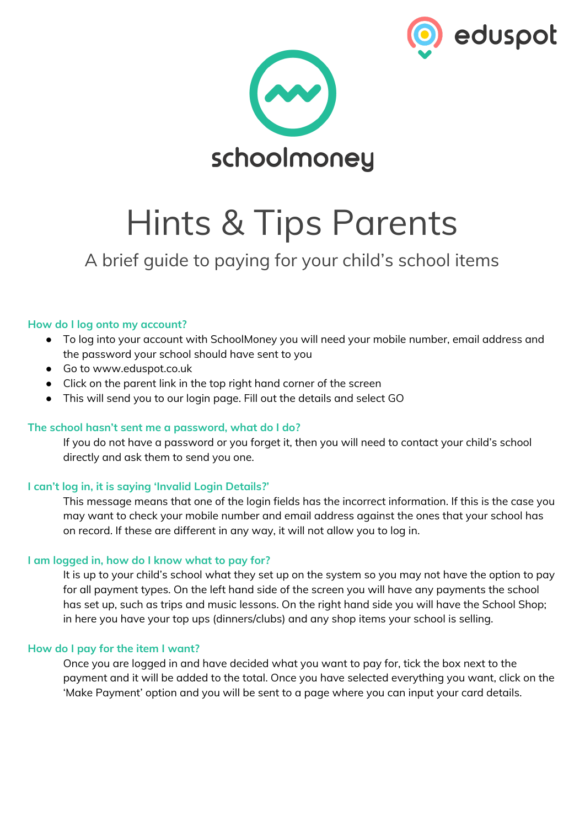



# Hints & Tips Parents

# A brief guide to paying for your child's school items

# **How do I log onto my account?**

- To log into your account with SchoolMoney you will need your mobile number, email address and the password your school should have sent to you
- Go to www.eduspot.co.uk
- Click on the parent link in the top right hand corner of the screen
- This will send you to our login page. Fill out the details and select GO

# **The school hasn't sent me a password, what do I do?**

If you do not have a password or you forget it, then you will need to contact your child's school directly and ask them to send you one.

# **I can't log in, it is saying 'Invalid Login Details?'**

This message means that one of the login fields has the incorrect information. If this is the case you may want to check your mobile number and email address against the ones that your school has on record. If these are different in any way, it will not allow you to log in.

# **I am logged in, how do I know what to pay for?**

It is up to your child's school what they set up on the system so you may not have the option to pay for all payment types. On the left hand side of the screen you will have any payments the school has set up, such as trips and music lessons. On the right hand side you will have the School Shop; in here you have your top ups (dinners/clubs) and any shop items your school is selling.

# **How do I pay for the item I want?**

Once you are logged in and have decided what you want to pay for, tick the box next to the payment and it will be added to the total. Once you have selected everything you want, click on the 'Make Payment' option and you will be sent to a page where you can input your card details.